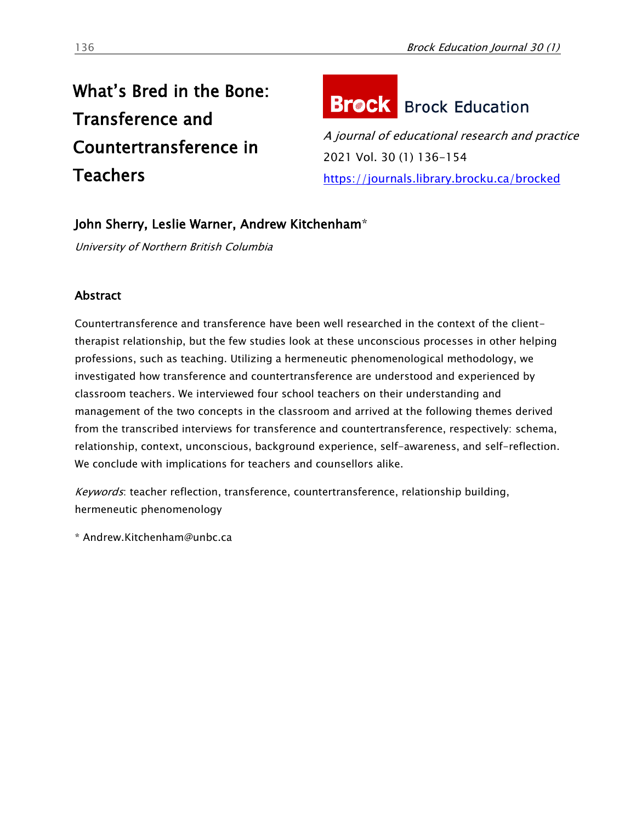# What's Bred in the Bone: Transference and Countertransference in **Teachers**

# **Brock** Brock Education

A journal of educational research and practice 2021 Vol. 30 (1) 136-154 <https://journals.library.brocku.ca/brocked>

# John Sherry, Leslie Warner, Andrew Kitchenham\*

University of Northern British Columbia

## **Abstract**

Countertransference and transference have been well researched in the context of the clienttherapist relationship, but the few studies look at these unconscious processes in other helping professions, such as teaching. Utilizing a hermeneutic phenomenological methodology, we investigated how transference and countertransference are understood and experienced by classroom teachers. We interviewed four school teachers on their understanding and management of the two concepts in the classroom and arrived at the following themes derived from the transcribed interviews for transference and countertransference, respectively: schema, relationship, context, unconscious, background experience, self-awareness, and self-reflection. We conclude with implications for teachers and counsellors alike.

Keywords: teacher reflection, transference, countertransference, relationship building, hermeneutic phenomenology

\* Andrew.Kitchenham@unbc.ca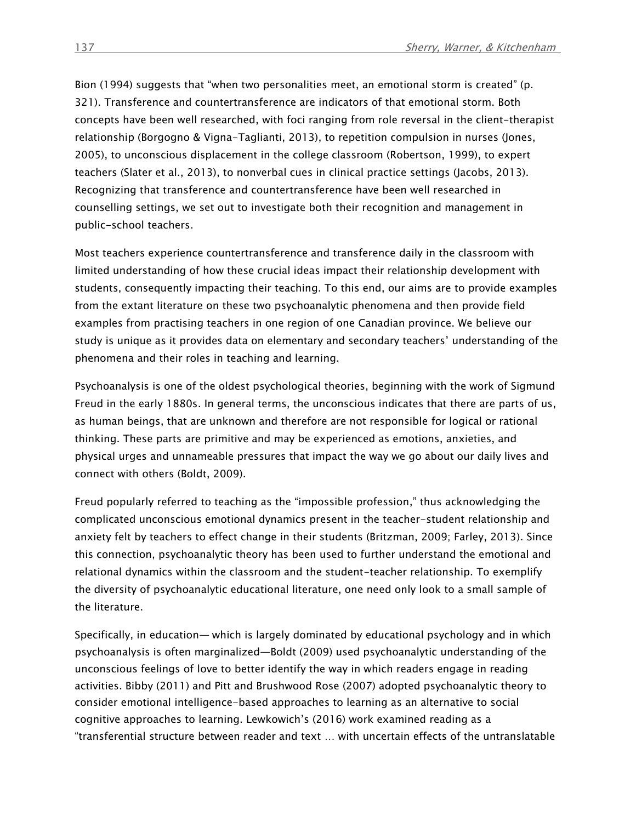Bion (1994) suggests that "when two personalities meet, an emotional storm is created" (p. 321). Transference and countertransference are indicators of that emotional storm. Both concepts have been well researched, with foci ranging from role reversal in the client-therapist relationship (Borgogno & Vigna-Taglianti, 2013), to repetition compulsion in nurses (Jones, 2005), to unconscious displacement in the college classroom (Robertson, 1999), to expert teachers (Slater et al., 2013), to nonverbal cues in clinical practice settings (Jacobs, 2013). Recognizing that transference and countertransference have been well researched in counselling settings, we set out to investigate both their recognition and management in public-school teachers.

Most teachers experience countertransference and transference daily in the classroom with limited understanding of how these crucial ideas impact their relationship development with students, consequently impacting their teaching. To this end, our aims are to provide examples from the extant literature on these two psychoanalytic phenomena and then provide field examples from practising teachers in one region of one Canadian province. We believe our study is unique as it provides data on elementary and secondary teachers' understanding of the phenomena and their roles in teaching and learning.

Psychoanalysis is one of the oldest psychological theories, beginning with the work of Sigmund Freud in the early 1880s. In general terms, the unconscious indicates that there are parts of us, as human beings, that are unknown and therefore are not responsible for logical or rational thinking. These parts are primitive and may be experienced as emotions, anxieties, and physical urges and unnameable pressures that impact the way we go about our daily lives and connect with others (Boldt, 2009).

Freud popularly referred to teaching as the "impossible profession," thus acknowledging the complicated unconscious emotional dynamics present in the teacher-student relationship and anxiety felt by teachers to effect change in their students (Britzman, 2009; Farley, 2013). Since this connection, psychoanalytic theory has been used to further understand the emotional and relational dynamics within the classroom and the student-teacher relationship. To exemplify the diversity of psychoanalytic educational literature, one need only look to a small sample of the literature.

Specifically, in education— which is largely dominated by educational psychology and in which psychoanalysis is often marginalized—Boldt (2009) used psychoanalytic understanding of the unconscious feelings of love to better identify the way in which readers engage in reading activities. Bibby (2011) and Pitt and Brushwood Rose (2007) adopted psychoanalytic theory to consider emotional intelligence-based approaches to learning as an alternative to social cognitive approaches to learning. Lewkowich's (2016) work examined reading as a "transferential structure between reader and text … with uncertain effects of the untranslatable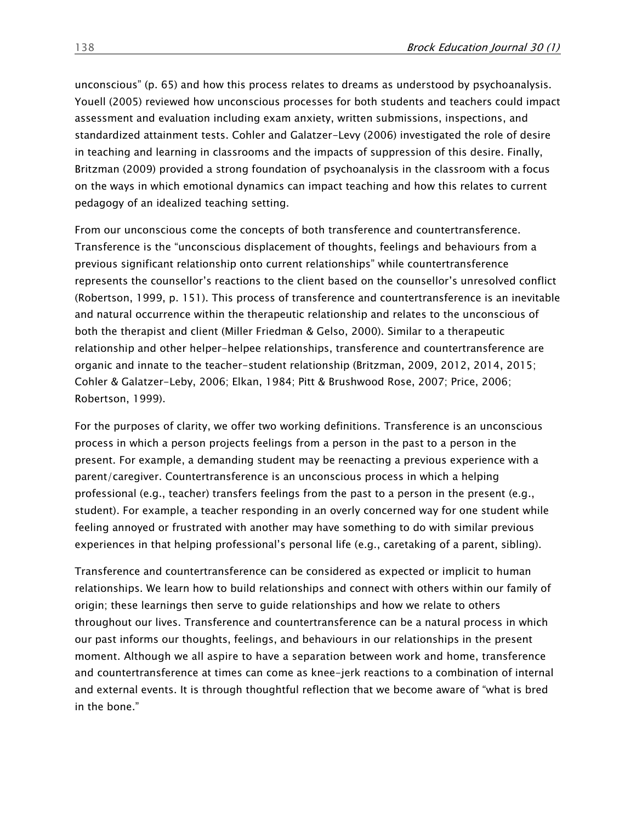unconscious" (p. 65) and how this process relates to dreams as understood by psychoanalysis. Youell (2005) reviewed how unconscious processes for both students and teachers could impact assessment and evaluation including exam anxiety, written submissions, inspections, and standardized attainment tests. Cohler and Galatzer-Levy (2006) investigated the role of desire in teaching and learning in classrooms and the impacts of suppression of this desire. Finally, Britzman (2009) provided a strong foundation of psychoanalysis in the classroom with a focus on the ways in which emotional dynamics can impact teaching and how this relates to current pedagogy of an idealized teaching setting.

From our unconscious come the concepts of both transference and countertransference. Transference is the "unconscious displacement of thoughts, feelings and behaviours from a previous significant relationship onto current relationships" while countertransference represents the counsellor's reactions to the client based on the counsellor's unresolved conflict (Robertson, 1999, p. 151). This process of transference and countertransference is an inevitable and natural occurrence within the therapeutic relationship and relates to the unconscious of both the therapist and client (Miller Friedman & Gelso, 2000). Similar to a therapeutic relationship and other helper-helpee relationships, transference and countertransference are organic and innate to the teacher-student relationship (Britzman, 2009, 2012, 2014, 2015; Cohler & Galatzer-Leby, 2006; Elkan, 1984; Pitt & Brushwood Rose, 2007; Price, 2006; Robertson, 1999).

For the purposes of clarity, we offer two working definitions. Transference is an unconscious process in which a person projects feelings from a person in the past to a person in the present. For example, a demanding student may be reenacting a previous experience with a parent/caregiver. Countertransference is an unconscious process in which a helping professional (e.g., teacher) transfers feelings from the past to a person in the present (e.g., student). For example, a teacher responding in an overly concerned way for one student while feeling annoyed or frustrated with another may have something to do with similar previous experiences in that helping professional's personal life (e.g., caretaking of a parent, sibling).

Transference and countertransference can be considered as expected or implicit to human relationships. We learn how to build relationships and connect with others within our family of origin; these learnings then serve to guide relationships and how we relate to others throughout our lives. Transference and countertransference can be a natural process in which our past informs our thoughts, feelings, and behaviours in our relationships in the present moment. Although we all aspire to have a separation between work and home, transference and countertransference at times can come as knee-jerk reactions to a combination of internal and external events. It is through thoughtful reflection that we become aware of "what is bred in the bone."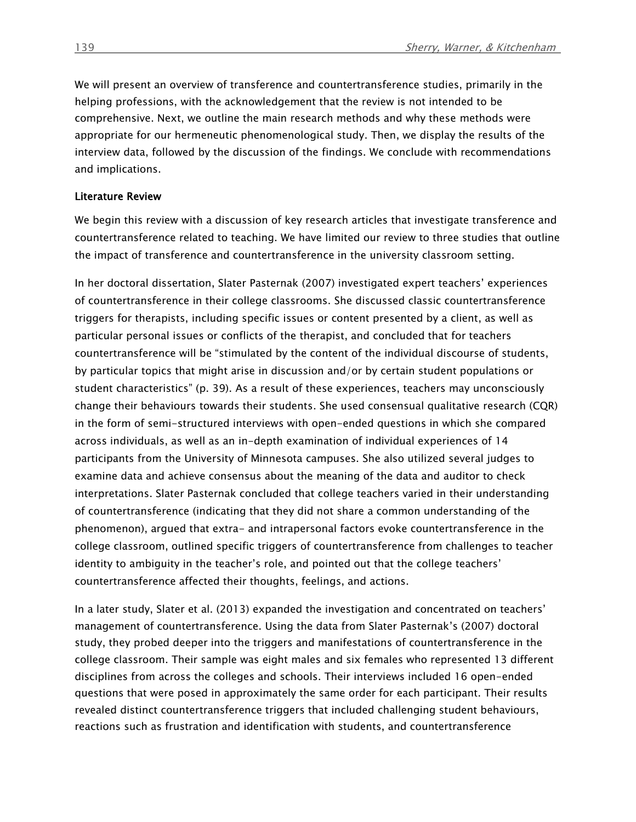We will present an overview of transference and countertransference studies, primarily in the helping professions, with the acknowledgement that the review is not intended to be comprehensive. Next, we outline the main research methods and why these methods were appropriate for our hermeneutic phenomenological study. Then, we display the results of the interview data, followed by the discussion of the findings. We conclude with recommendations and implications.

#### Literature Review

We begin this review with a discussion of key research articles that investigate transference and countertransference related to teaching. We have limited our review to three studies that outline the impact of transference and countertransference in the university classroom setting.

In her doctoral dissertation, Slater Pasternak (2007) investigated expert teachers' experiences of countertransference in their college classrooms. She discussed classic countertransference triggers for therapists, including specific issues or content presented by a client, as well as particular personal issues or conflicts of the therapist, and concluded that for teachers countertransference will be "stimulated by the content of the individual discourse of students, by particular topics that might arise in discussion and/or by certain student populations or student characteristics" (p. 39). As a result of these experiences, teachers may unconsciously change their behaviours towards their students. She used consensual qualitative research (CQR) in the form of semi-structured interviews with open-ended questions in which she compared across individuals, as well as an in-depth examination of individual experiences of 14 participants from the University of Minnesota campuses. She also utilized several judges to examine data and achieve consensus about the meaning of the data and auditor to check interpretations. Slater Pasternak concluded that college teachers varied in their understanding of countertransference (indicating that they did not share a common understanding of the phenomenon), argued that extra- and intrapersonal factors evoke countertransference in the college classroom, outlined specific triggers of countertransference from challenges to teacher identity to ambiguity in the teacher's role, and pointed out that the college teachers' countertransference affected their thoughts, feelings, and actions.

In a later study, Slater et al. (2013) expanded the investigation and concentrated on teachers' management of countertransference. Using the data from Slater Pasternak's (2007) doctoral study, they probed deeper into the triggers and manifestations of countertransference in the college classroom. Their sample was eight males and six females who represented 13 different disciplines from across the colleges and schools. Their interviews included 16 open-ended questions that were posed in approximately the same order for each participant. Their results revealed distinct countertransference triggers that included challenging student behaviours, reactions such as frustration and identification with students, and countertransference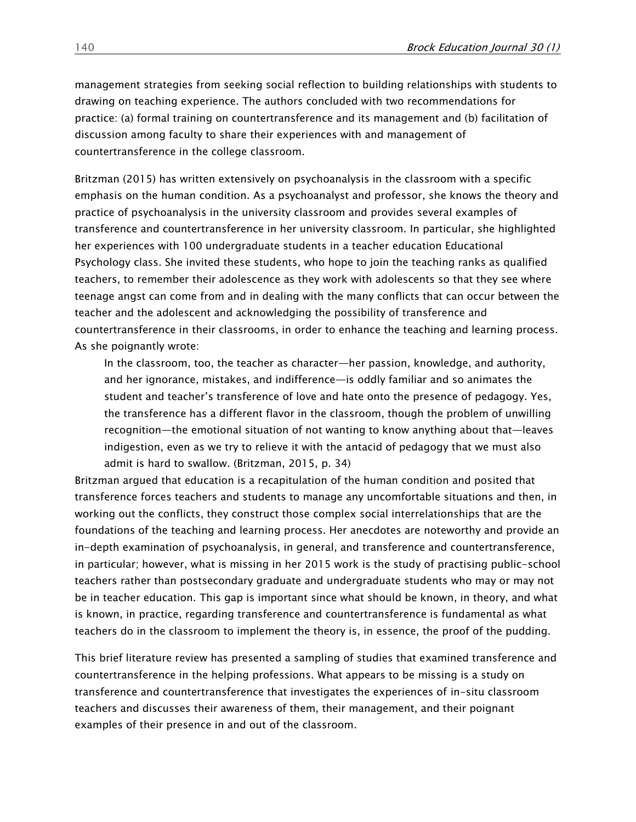management strategies from seeking social reflection to building relationships with students to drawing on teaching experience. The authors concluded with two recommendations for practice: (a) formal training on countertransference and its management and (b) facilitation of discussion among faculty to share their experiences with and management of countertransference in the college classroom.

Britzman (2015) has written extensively on psychoanalysis in the classroom with a specific emphasis on the human condition. As a psychoanalyst and professor, she knows the theory and practice of psychoanalysis in the university classroom and provides several examples of transference and countertransference in her university classroom. In particular, she highlighted her experiences with 100 undergraduate students in a teacher education Educational Psychology class. She invited these students, who hope to join the teaching ranks as qualified teachers, to remember their adolescence as they work with adolescents so that they see where teenage angst can come from and in dealing with the many conflicts that can occur between the teacher and the adolescent and acknowledging the possibility of transference and countertransference in their classrooms, in order to enhance the teaching and learning process. As she poignantly wrote:

In the classroom, too, the teacher as character—her passion, knowledge, and authority, and her ignorance, mistakes, and indifference—is oddly familiar and so animates the student and teacher's transference of love and hate onto the presence of pedagogy. Yes, the transference has a different flavor in the classroom, though the problem of unwilling recognition—the emotional situation of not wanting to know anything about that—leaves indigestion, even as we try to relieve it with the antacid of pedagogy that we must also admit is hard to swallow. (Britzman, 2015, p. 34)

Britzman argued that education is a recapitulation of the human condition and posited that transference forces teachers and students to manage any uncomfortable situations and then, in working out the conflicts, they construct those complex social interrelationships that are the foundations of the teaching and learning process. Her anecdotes are noteworthy and provide an in-depth examination of psychoanalysis, in general, and transference and countertransference, in particular; however, what is missing in her 2015 work is the study of practising public-school teachers rather than postsecondary graduate and undergraduate students who may or may not be in teacher education. This gap is important since what should be known, in theory, and what is known, in practice, regarding transference and countertransference is fundamental as what teachers do in the classroom to implement the theory is, in essence, the proof of the pudding.

This brief literature review has presented a sampling of studies that examined transference and countertransference in the helping professions. What appears to be missing is a study on transference and countertransference that investigates the experiences of in-situ classroom teachers and discusses their awareness of them, their management, and their poignant examples of their presence in and out of the classroom.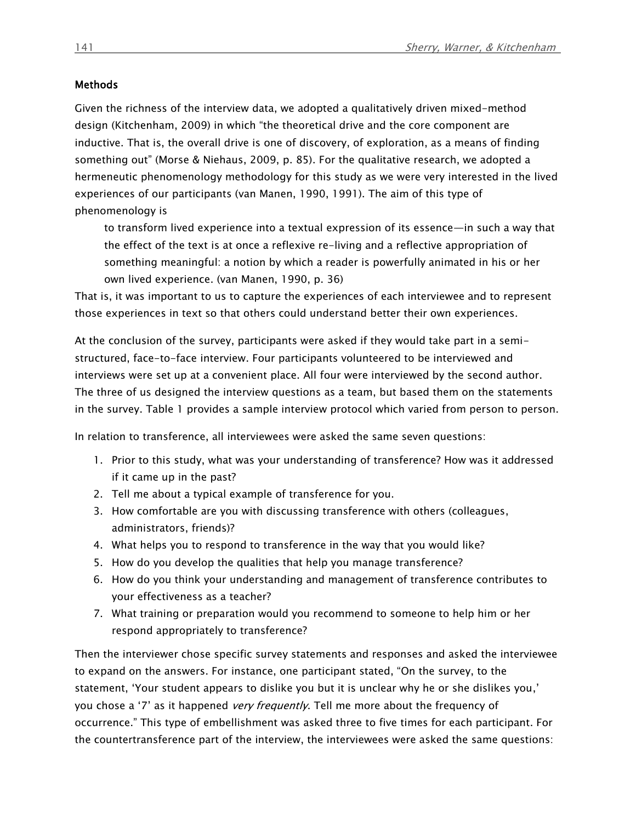#### **Methods**

Given the richness of the interview data, we adopted a qualitatively driven mixed-method design (Kitchenham, 2009) in which "the theoretical drive and the core component are inductive. That is, the overall drive is one of discovery, of exploration, as a means of finding something out" (Morse & Niehaus, 2009, p. 85). For the qualitative research, we adopted a hermeneutic phenomenology methodology for this study as we were very interested in the lived experiences of our participants (van Manen, 1990, 1991). The aim of this type of phenomenology is

to transform lived experience into a textual expression of its essence—in such a way that the effect of the text is at once a reflexive re-living and a reflective appropriation of something meaningful: a notion by which a reader is powerfully animated in his or her own lived experience. (van Manen, 1990, p. 36)

That is, it was important to us to capture the experiences of each interviewee and to represent those experiences in text so that others could understand better their own experiences.

At the conclusion of the survey, participants were asked if they would take part in a semistructured, face-to-face interview. Four participants volunteered to be interviewed and interviews were set up at a convenient place. All four were interviewed by the second author. The three of us designed the interview questions as a team, but based them on the statements in the survey. Table 1 provides a sample interview protocol which varied from person to person.

In relation to transference, all interviewees were asked the same seven questions:

- 1. Prior to this study, what was your understanding of transference? How was it addressed if it came up in the past?
- 2. Tell me about a typical example of transference for you.
- 3. How comfortable are you with discussing transference with others (colleagues, administrators, friends)?
- 4. What helps you to respond to transference in the way that you would like?
- 5. How do you develop the qualities that help you manage transference?
- 6. How do you think your understanding and management of transference contributes to your effectiveness as a teacher?
- 7. What training or preparation would you recommend to someone to help him or her respond appropriately to transference?

Then the interviewer chose specific survey statements and responses and asked the interviewee to expand on the answers. For instance, one participant stated, "On the survey, to the statement, 'Your student appears to dislike you but it is unclear why he or she dislikes you,' you chose a '7' as it happened *very frequently*. Tell me more about the frequency of occurrence." This type of embellishment was asked three to five times for each participant. For the countertransference part of the interview, the interviewees were asked the same questions: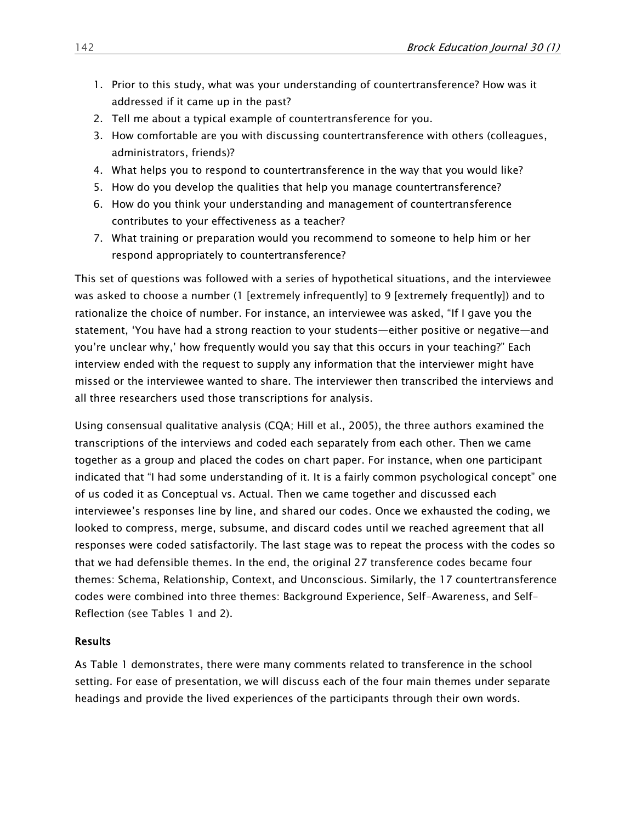- 1. Prior to this study, what was your understanding of countertransference? How was it addressed if it came up in the past?
- 2. Tell me about a typical example of countertransference for you.
- 3. How comfortable are you with discussing countertransference with others (colleagues, administrators, friends)?
- 4. What helps you to respond to countertransference in the way that you would like?
- 5. How do you develop the qualities that help you manage countertransference?
- 6. How do you think your understanding and management of countertransference contributes to your effectiveness as a teacher?
- 7. What training or preparation would you recommend to someone to help him or her respond appropriately to countertransference?

This set of questions was followed with a series of hypothetical situations, and the interviewee was asked to choose a number (1 [extremely infrequently] to 9 [extremely frequently]) and to rationalize the choice of number. For instance, an interviewee was asked, "If I gave you the statement, 'You have had a strong reaction to your students—either positive or negative—and you're unclear why,' how frequently would you say that this occurs in your teaching?" Each interview ended with the request to supply any information that the interviewer might have missed or the interviewee wanted to share. The interviewer then transcribed the interviews and all three researchers used those transcriptions for analysis.

Using consensual qualitative analysis (CQA; Hill et al., 2005), the three authors examined the transcriptions of the interviews and coded each separately from each other. Then we came together as a group and placed the codes on chart paper. For instance, when one participant indicated that "I had some understanding of it. It is a fairly common psychological concept" one of us coded it as Conceptual vs. Actual. Then we came together and discussed each interviewee's responses line by line, and shared our codes. Once we exhausted the coding, we looked to compress, merge, subsume, and discard codes until we reached agreement that all responses were coded satisfactorily. The last stage was to repeat the process with the codes so that we had defensible themes. In the end, the original 27 transference codes became four themes: Schema, Relationship, Context, and Unconscious. Similarly, the 17 countertransference codes were combined into three themes: Background Experience, Self-Awareness, and Self-Reflection (see Tables 1 and 2).

#### Results

As Table 1 demonstrates, there were many comments related to transference in the school setting. For ease of presentation, we will discuss each of the four main themes under separate headings and provide the lived experiences of the participants through their own words.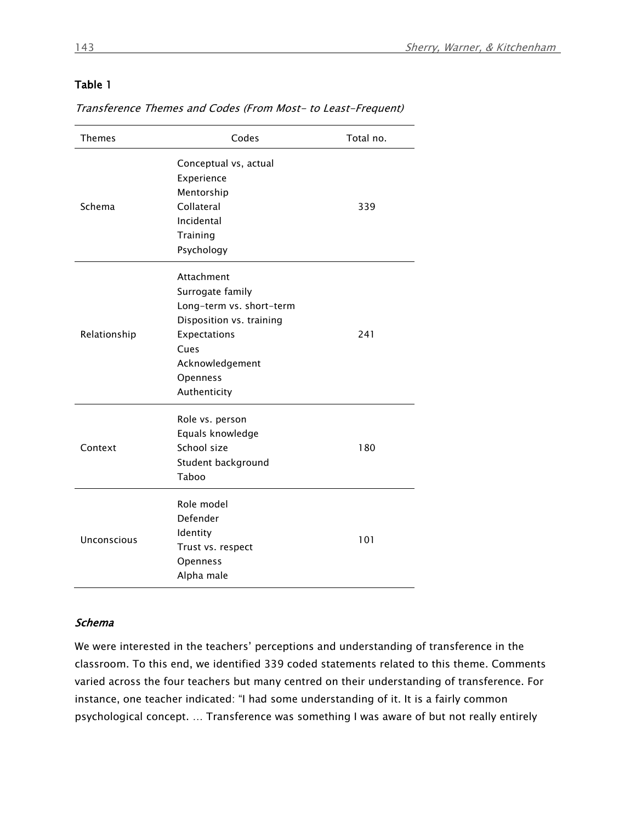### Table 1

Transference Themes and Codes (From Most- to Least-Frequent)

| <b>Themes</b> | Codes                                                                                                                                                         | Total no. |
|---------------|---------------------------------------------------------------------------------------------------------------------------------------------------------------|-----------|
| Schema        | Conceptual vs, actual<br>Experience<br>Mentorship<br>Collateral<br>Incidental<br>Training<br>Psychology                                                       | 339       |
| Relationship  | Attachment<br>Surrogate family<br>Long-term vs. short-term<br>Disposition vs. training<br>Expectations<br>Cues<br>Acknowledgement<br>Openness<br>Authenticity | 241       |
| Context       | Role vs. person<br>Equals knowledge<br>School size<br>Student background<br>Taboo                                                                             | 180       |
| Unconscious   | Role model<br>Defender<br>Identity<br>Trust vs. respect<br>Openness<br>Alpha male                                                                             | 101       |

#### Schema

We were interested in the teachers' perceptions and understanding of transference in the classroom. To this end, we identified 339 coded statements related to this theme. Comments varied across the four teachers but many centred on their understanding of transference. For instance, one teacher indicated: "I had some understanding of it. It is a fairly common psychological concept. … Transference was something I was aware of but not really entirely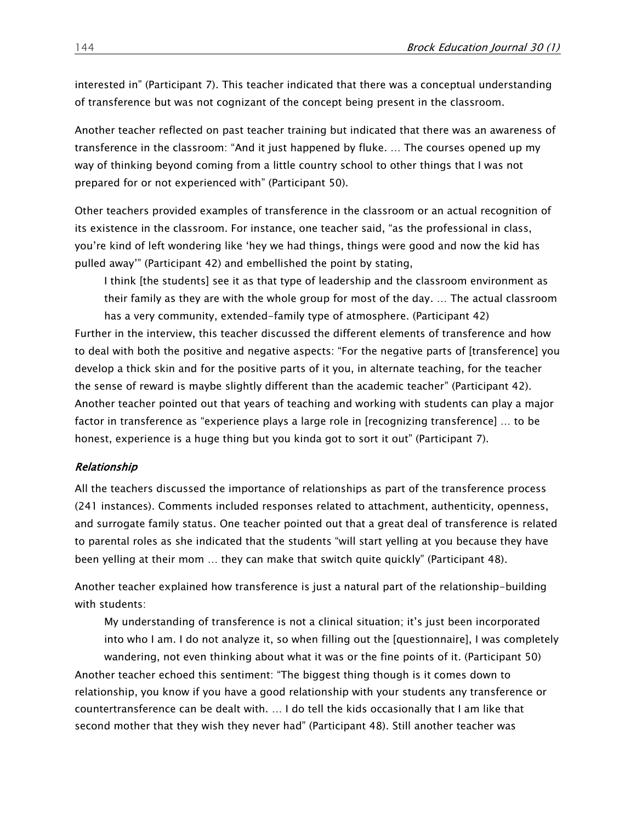interested in" (Participant 7). This teacher indicated that there was a conceptual understanding of transference but was not cognizant of the concept being present in the classroom.

Another teacher reflected on past teacher training but indicated that there was an awareness of transference in the classroom: "And it just happened by fluke. … The courses opened up my way of thinking beyond coming from a little country school to other things that I was not prepared for or not experienced with" (Participant 50).

Other teachers provided examples of transference in the classroom or an actual recognition of its existence in the classroom. For instance, one teacher said, "as the professional in class, you're kind of left wondering like 'hey we had things, things were good and now the kid has pulled away'" (Participant 42) and embellished the point by stating,

I think [the students] see it as that type of leadership and the classroom environment as their family as they are with the whole group for most of the day. … The actual classroom has a very community, extended-family type of atmosphere. (Participant 42) Further in the interview, this teacher discussed the different elements of transference and how to deal with both the positive and negative aspects: "For the negative parts of [transference] you develop a thick skin and for the positive parts of it you, in alternate teaching, for the teacher the sense of reward is maybe slightly different than the academic teacher" (Participant 42). Another teacher pointed out that years of teaching and working with students can play a major factor in transference as "experience plays a large role in [recognizing transference] … to be honest, experience is a huge thing but you kinda got to sort it out" (Participant 7).

#### Relationship

All the teachers discussed the importance of relationships as part of the transference process (241 instances). Comments included responses related to attachment, authenticity, openness, and surrogate family status. One teacher pointed out that a great deal of transference is related to parental roles as she indicated that the students "will start yelling at you because they have been yelling at their mom … they can make that switch quite quickly" (Participant 48).

Another teacher explained how transference is just a natural part of the relationship-building with students:

My understanding of transference is not a clinical situation; it's just been incorporated into who I am. I do not analyze it, so when filling out the [questionnaire], I was completely wandering, not even thinking about what it was or the fine points of it. (Participant 50) Another teacher echoed this sentiment: "The biggest thing though is it comes down to relationship, you know if you have a good relationship with your students any transference or countertransference can be dealt with. … I do tell the kids occasionally that I am like that second mother that they wish they never had" (Participant 48). Still another teacher was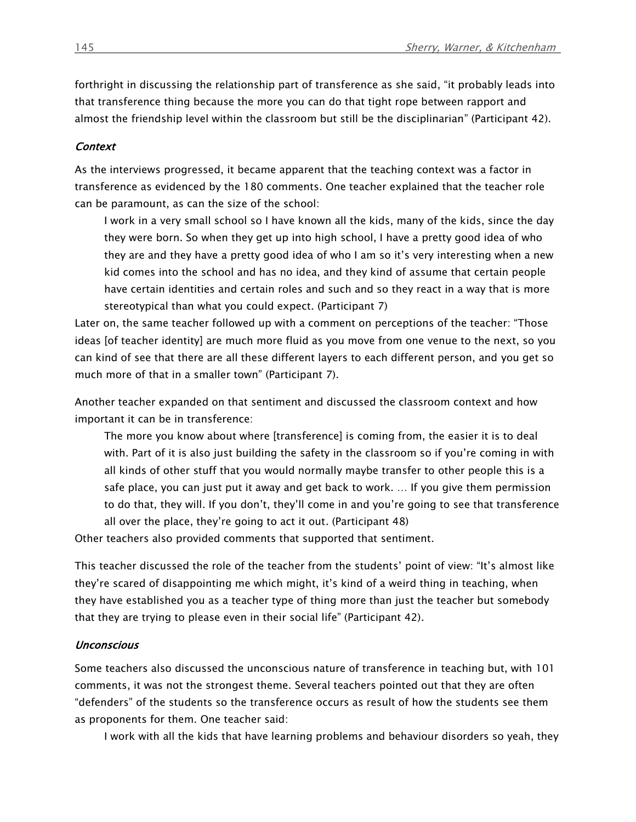forthright in discussing the relationship part of transference as she said, "it probably leads into that transference thing because the more you can do that tight rope between rapport and almost the friendship level within the classroom but still be the disciplinarian" (Participant 42).

#### **Context**

As the interviews progressed, it became apparent that the teaching context was a factor in transference as evidenced by the 180 comments. One teacher explained that the teacher role can be paramount, as can the size of the school:

I work in a very small school so I have known all the kids, many of the kids, since the day they were born. So when they get up into high school, I have a pretty good idea of who they are and they have a pretty good idea of who I am so it's very interesting when a new kid comes into the school and has no idea, and they kind of assume that certain people have certain identities and certain roles and such and so they react in a way that is more stereotypical than what you could expect. (Participant 7)

Later on, the same teacher followed up with a comment on perceptions of the teacher: "Those ideas [of teacher identity] are much more fluid as you move from one venue to the next, so you can kind of see that there are all these different layers to each different person, and you get so much more of that in a smaller town" (Participant 7).

Another teacher expanded on that sentiment and discussed the classroom context and how important it can be in transference:

The more you know about where [transference] is coming from, the easier it is to deal with. Part of it is also just building the safety in the classroom so if you're coming in with all kinds of other stuff that you would normally maybe transfer to other people this is a safe place, you can just put it away and get back to work. … If you give them permission to do that, they will. If you don't, they'll come in and you're going to see that transference all over the place, they're going to act it out. (Participant 48)

Other teachers also provided comments that supported that sentiment.

This teacher discussed the role of the teacher from the students' point of view: "It's almost like they're scared of disappointing me which might, it's kind of a weird thing in teaching, when they have established you as a teacher type of thing more than just the teacher but somebody that they are trying to please even in their social life" (Participant 42).

#### **Unconscious**

Some teachers also discussed the unconscious nature of transference in teaching but, with 101 comments, it was not the strongest theme. Several teachers pointed out that they are often "defenders" of the students so the transference occurs as result of how the students see them as proponents for them. One teacher said:

I work with all the kids that have learning problems and behaviour disorders so yeah, they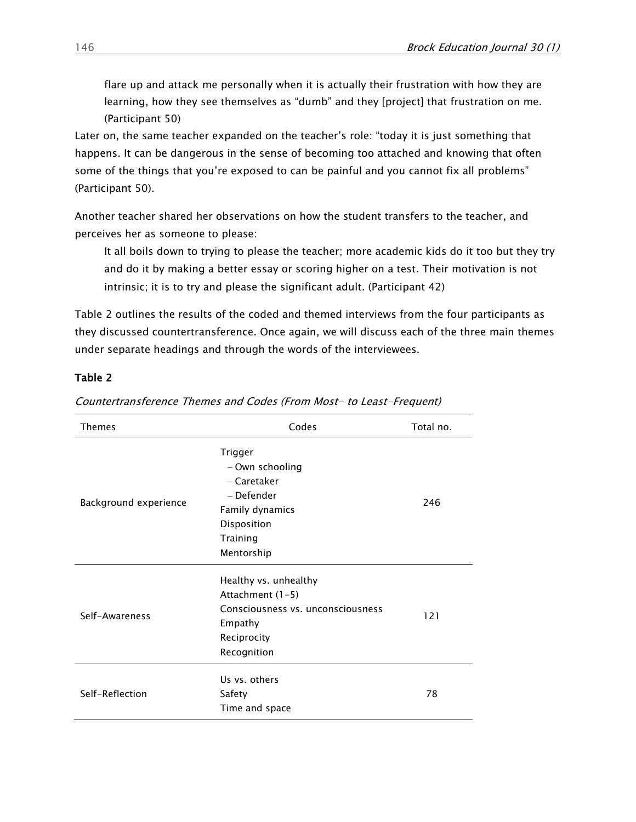flare up and attack me personally when it is actually their frustration with how they are learning, how they see themselves as "dumb" and they [project] that frustration on me. (Participant 50)

Later on, the same teacher expanded on the teacher's role: "today it is just something that happens. It can be dangerous in the sense of becoming too attached and knowing that often some of the things that you're exposed to can be painful and you cannot fix all problems" (Participant 50).

Another teacher shared her observations on how the student transfers to the teacher, and perceives her as someone to please:

It all boils down to trying to please the teacher; more academic kids do it too but they try and do it by making a better essay or scoring higher on a test. Their motivation is not intrinsic; it is to try and please the significant adult. (Participant 42)

Table 2 outlines the results of the coded and themed interviews from the four participants as they discussed countertransference. Once again, we will discuss each of the three main themes under separate headings and through the words of the interviewees.

#### Table 2

| Themes                | Codes                                                                                                                   | Total no. |
|-----------------------|-------------------------------------------------------------------------------------------------------------------------|-----------|
| Background experience | Trigger<br>- Own schooling<br>– Caretaker<br>– Defender<br>Family dynamics<br>Disposition<br>Training<br>Mentorship     | 246       |
| Self-Awareness        | Healthy vs. unhealthy<br>Attachment (1-5)<br>Consciousness vs. unconsciousness<br>Empathy<br>Reciprocity<br>Recognition | 121       |
| Self-Reflection       | Us vs. others<br>Safety<br>Time and space                                                                               | 78        |

Countertransference Themes and Codes (From Most- to Least-Frequent)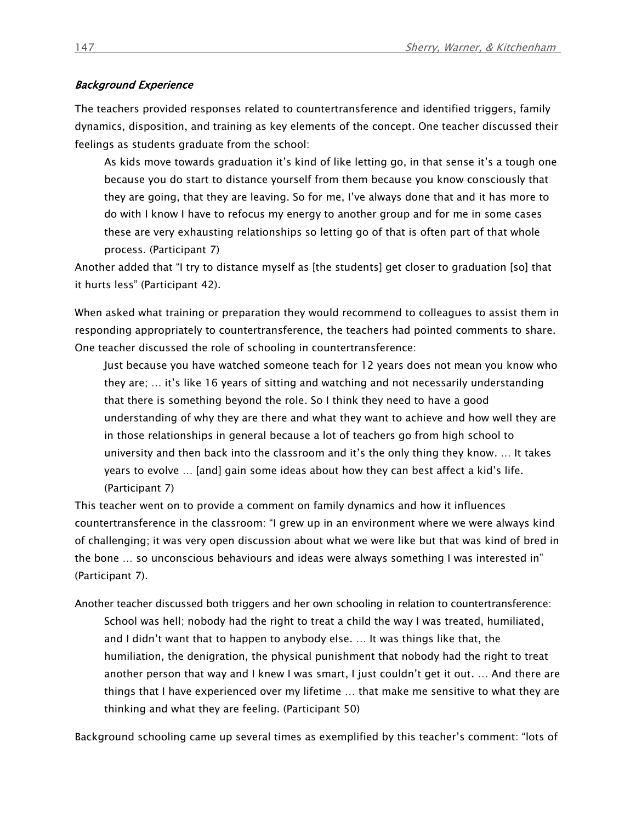#### Background Experience

The teachers provided responses related to countertransference and identified triggers, family dynamics, disposition, and training as key elements of the concept. One teacher discussed their feelings as students graduate from the school:

As kids move towards graduation it's kind of like letting go, in that sense it's a tough one because you do start to distance yourself from them because you know consciously that they are going, that they are leaving. So for me, I've always done that and it has more to do with I know I have to refocus my energy to another group and for me in some cases these are very exhausting relationships so letting go of that is often part of that whole process. (Participant 7)

Another added that "I try to distance myself as [the students] get closer to graduation [so] that it hurts less" (Participant 42).

When asked what training or preparation they would recommend to colleagues to assist them in responding appropriately to countertransference, the teachers had pointed comments to share. One teacher discussed the role of schooling in countertransference:

Just because you have watched someone teach for 12 years does not mean you know who they are; … it's like 16 years of sitting and watching and not necessarily understanding that there is something beyond the role. So I think they need to have a good understanding of why they are there and what they want to achieve and how well they are in those relationships in general because a lot of teachers go from high school to university and then back into the classroom and it's the only thing they know. … It takes years to evolve … [and] gain some ideas about how they can best affect a kid's life. (Participant 7)

This teacher went on to provide a comment on family dynamics and how it influences countertransference in the classroom: "I grew up in an environment where we were always kind of challenging; it was very open discussion about what we were like but that was kind of bred in the bone … so unconscious behaviours and ideas were always something I was interested in" (Participant 7).

Another teacher discussed both triggers and her own schooling in relation to countertransference: School was hell; nobody had the right to treat a child the way I was treated, humiliated, and I didn't want that to happen to anybody else. … It was things like that, the humiliation, the denigration, the physical punishment that nobody had the right to treat another person that way and I knew I was smart, I just couldn't get it out. … And there are things that I have experienced over my lifetime … that make me sensitive to what they are thinking and what they are feeling. (Participant 50)

Background schooling came up several times as exemplified by this teacher's comment: "lots of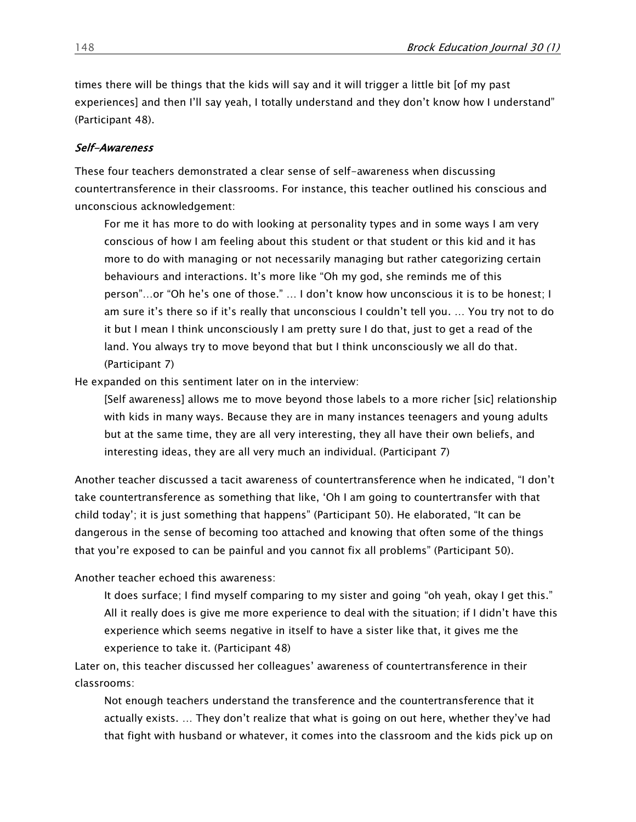times there will be things that the kids will say and it will trigger a little bit [of my past experiences] and then I'll say yeah, I totally understand and they don't know how I understand" (Participant 48).

#### Self-Awareness

These four teachers demonstrated a clear sense of self-awareness when discussing countertransference in their classrooms. For instance, this teacher outlined his conscious and unconscious acknowledgement:

For me it has more to do with looking at personality types and in some ways I am very conscious of how I am feeling about this student or that student or this kid and it has more to do with managing or not necessarily managing but rather categorizing certain behaviours and interactions. It's more like "Oh my god, she reminds me of this person"…or "Oh he's one of those." … I don't know how unconscious it is to be honest; I am sure it's there so if it's really that unconscious I couldn't tell you. … You try not to do it but I mean I think unconsciously I am pretty sure I do that, just to get a read of the land. You always try to move beyond that but I think unconsciously we all do that. (Participant 7)

He expanded on this sentiment later on in the interview:

[Self awareness] allows me to move beyond those labels to a more richer [sic] relationship with kids in many ways. Because they are in many instances teenagers and young adults but at the same time, they are all very interesting, they all have their own beliefs, and interesting ideas, they are all very much an individual. (Participant 7)

Another teacher discussed a tacit awareness of countertransference when he indicated, "I don't take countertransference as something that like, 'Oh I am going to countertransfer with that child today'; it is just something that happens" (Participant 50). He elaborated, "It can be dangerous in the sense of becoming too attached and knowing that often some of the things that you're exposed to can be painful and you cannot fix all problems" (Participant 50).

Another teacher echoed this awareness:

It does surface; I find myself comparing to my sister and going "oh yeah, okay I get this." All it really does is give me more experience to deal with the situation; if I didn't have this experience which seems negative in itself to have a sister like that, it gives me the experience to take it. (Participant 48)

Later on, this teacher discussed her colleagues' awareness of countertransference in their classrooms:

Not enough teachers understand the transference and the countertransference that it actually exists. … They don't realize that what is going on out here, whether they've had that fight with husband or whatever, it comes into the classroom and the kids pick up on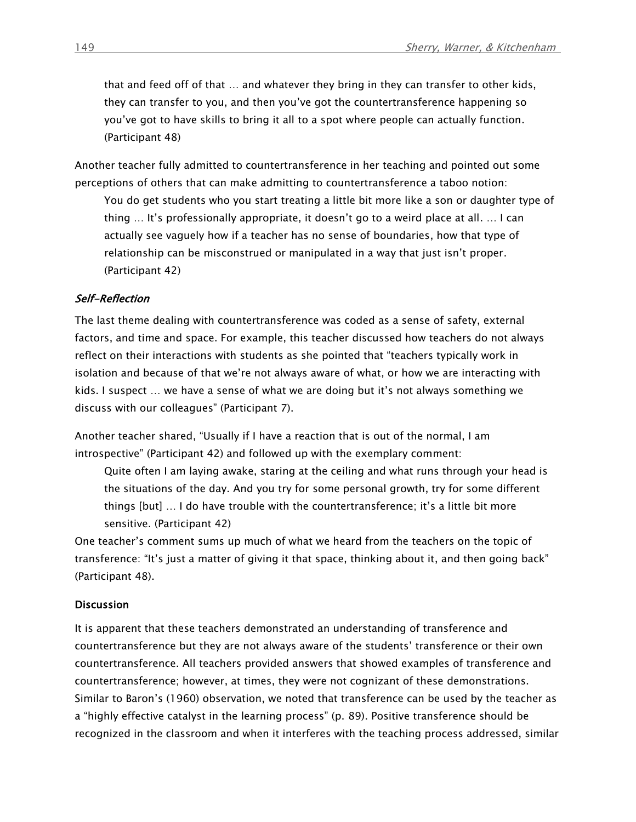that and feed off of that … and whatever they bring in they can transfer to other kids, they can transfer to you, and then you've got the countertransference happening so you've got to have skills to bring it all to a spot where people can actually function. (Participant 48)

Another teacher fully admitted to countertransference in her teaching and pointed out some perceptions of others that can make admitting to countertransference a taboo notion:

You do get students who you start treating a little bit more like a son or daughter type of thing … It's professionally appropriate, it doesn't go to a weird place at all. … I can actually see vaguely how if a teacher has no sense of boundaries, how that type of relationship can be misconstrued or manipulated in a way that just isn't proper. (Participant 42)

#### Self-Reflection

The last theme dealing with countertransference was coded as a sense of safety, external factors, and time and space. For example, this teacher discussed how teachers do not always reflect on their interactions with students as she pointed that "teachers typically work in isolation and because of that we're not always aware of what, or how we are interacting with kids. I suspect … we have a sense of what we are doing but it's not always something we discuss with our colleagues" (Participant 7).

Another teacher shared, "Usually if I have a reaction that is out of the normal, I am introspective" (Participant 42) and followed up with the exemplary comment:

Quite often I am laying awake, staring at the ceiling and what runs through your head is the situations of the day. And you try for some personal growth, try for some different things [but] … I do have trouble with the countertransference; it's a little bit more sensitive. (Participant 42)

One teacher's comment sums up much of what we heard from the teachers on the topic of transference: "It's just a matter of giving it that space, thinking about it, and then going back" (Participant 48).

#### **Discussion**

It is apparent that these teachers demonstrated an understanding of transference and countertransference but they are not always aware of the students' transference or their own countertransference. All teachers provided answers that showed examples of transference and countertransference; however, at times, they were not cognizant of these demonstrations. Similar to Baron's (1960) observation, we noted that transference can be used by the teacher as a "highly effective catalyst in the learning process" (p. 89). Positive transference should be recognized in the classroom and when it interferes with the teaching process addressed, similar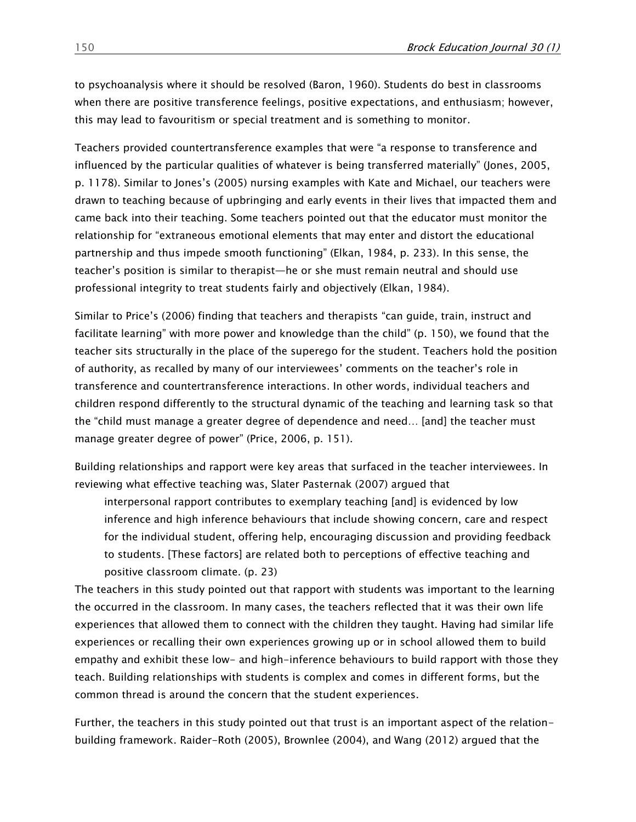to psychoanalysis where it should be resolved (Baron, 1960). Students do best in classrooms when there are positive transference feelings, positive expectations, and enthusiasm; however, this may lead to favouritism or special treatment and is something to monitor.

Teachers provided countertransference examples that were "a response to transference and influenced by the particular qualities of whatever is being transferred materially" (Jones, 2005, p. 1178). Similar to Jones's (2005) nursing examples with Kate and Michael, our teachers were drawn to teaching because of upbringing and early events in their lives that impacted them and came back into their teaching. Some teachers pointed out that the educator must monitor the relationship for "extraneous emotional elements that may enter and distort the educational partnership and thus impede smooth functioning" (Elkan, 1984, p. 233). In this sense, the teacher's position is similar to therapist—he or she must remain neutral and should use professional integrity to treat students fairly and objectively (Elkan, 1984).

Similar to Price's (2006) finding that teachers and therapists "can guide, train, instruct and facilitate learning" with more power and knowledge than the child" (p. 150), we found that the teacher sits structurally in the place of the superego for the student. Teachers hold the position of authority, as recalled by many of our interviewees' comments on the teacher's role in transference and countertransference interactions. In other words, individual teachers and children respond differently to the structural dynamic of the teaching and learning task so that the "child must manage a greater degree of dependence and need… [and] the teacher must manage greater degree of power" (Price, 2006, p. 151).

Building relationships and rapport were key areas that surfaced in the teacher interviewees. In reviewing what effective teaching was, Slater Pasternak (2007) argued that

interpersonal rapport contributes to exemplary teaching [and] is evidenced by low inference and high inference behaviours that include showing concern, care and respect for the individual student, offering help, encouraging discussion and providing feedback to students. [These factors] are related both to perceptions of effective teaching and positive classroom climate. (p. 23)

The teachers in this study pointed out that rapport with students was important to the learning the occurred in the classroom. In many cases, the teachers reflected that it was their own life experiences that allowed them to connect with the children they taught. Having had similar life experiences or recalling their own experiences growing up or in school allowed them to build empathy and exhibit these low- and high-inference behaviours to build rapport with those they teach. Building relationships with students is complex and comes in different forms, but the common thread is around the concern that the student experiences.

Further, the teachers in this study pointed out that trust is an important aspect of the relationbuilding framework. Raider-Roth (2005), Brownlee (2004), and Wang (2012) argued that the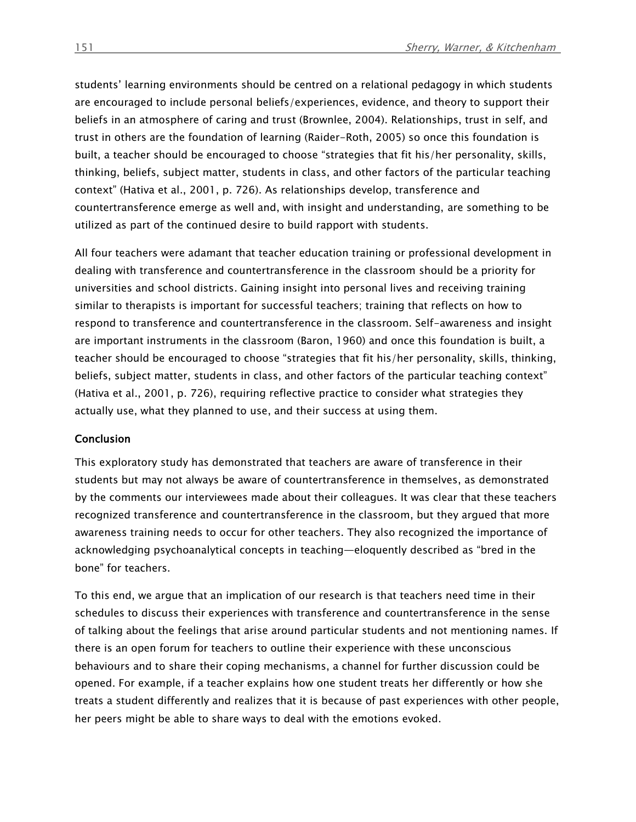students' learning environments should be centred on a relational pedagogy in which students are encouraged to include personal beliefs/experiences, evidence, and theory to support their beliefs in an atmosphere of caring and trust (Brownlee, 2004). Relationships, trust in self, and trust in others are the foundation of learning (Raider-Roth, 2005) so once this foundation is built, a teacher should be encouraged to choose "strategies that fit his/her personality, skills, thinking, beliefs, subject matter, students in class, and other factors of the particular teaching context" (Hativa et al., 2001, p. 726). As relationships develop, transference and countertransference emerge as well and, with insight and understanding, are something to be utilized as part of the continued desire to build rapport with students.

All four teachers were adamant that teacher education training or professional development in dealing with transference and countertransference in the classroom should be a priority for universities and school districts. Gaining insight into personal lives and receiving training similar to therapists is important for successful teachers; training that reflects on how to respond to transference and countertransference in the classroom. Self-awareness and insight are important instruments in the classroom (Baron, 1960) and once this foundation is built, a teacher should be encouraged to choose "strategies that fit his/her personality, skills, thinking, beliefs, subject matter, students in class, and other factors of the particular teaching context" (Hativa et al., 2001, p. 726), requiring reflective practice to consider what strategies they actually use, what they planned to use, and their success at using them.

#### Conclusion

This exploratory study has demonstrated that teachers are aware of transference in their students but may not always be aware of countertransference in themselves, as demonstrated by the comments our interviewees made about their colleagues. It was clear that these teachers recognized transference and countertransference in the classroom, but they argued that more awareness training needs to occur for other teachers. They also recognized the importance of acknowledging psychoanalytical concepts in teaching—eloquently described as "bred in the bone" for teachers.

To this end, we argue that an implication of our research is that teachers need time in their schedules to discuss their experiences with transference and countertransference in the sense of talking about the feelings that arise around particular students and not mentioning names. If there is an open forum for teachers to outline their experience with these unconscious behaviours and to share their coping mechanisms, a channel for further discussion could be opened. For example, if a teacher explains how one student treats her differently or how she treats a student differently and realizes that it is because of past experiences with other people, her peers might be able to share ways to deal with the emotions evoked.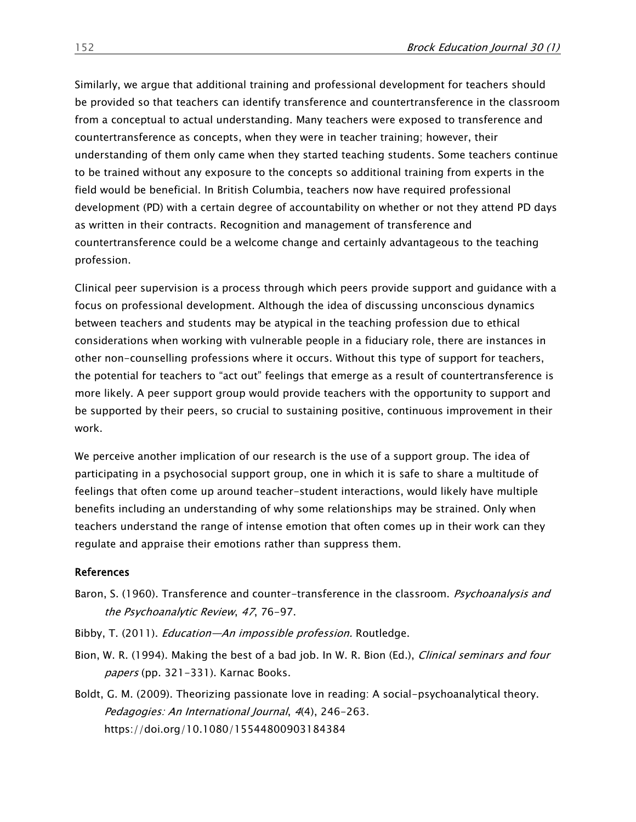Similarly, we argue that additional training and professional development for teachers should be provided so that teachers can identify transference and countertransference in the classroom from a conceptual to actual understanding. Many teachers were exposed to transference and countertransference as concepts, when they were in teacher training; however, their understanding of them only came when they started teaching students. Some teachers continue to be trained without any exposure to the concepts so additional training from experts in the field would be beneficial. In British Columbia, teachers now have required professional development (PD) with a certain degree of accountability on whether or not they attend PD days as written in their contracts. Recognition and management of transference and countertransference could be a welcome change and certainly advantageous to the teaching profession.

Clinical peer supervision is a process through which peers provide support and guidance with a focus on professional development. Although the idea of discussing unconscious dynamics between teachers and students may be atypical in the teaching profession due to ethical considerations when working with vulnerable people in a fiduciary role, there are instances in other non-counselling professions where it occurs. Without this type of support for teachers, the potential for teachers to "act out" feelings that emerge as a result of countertransference is more likely. A peer support group would provide teachers with the opportunity to support and be supported by their peers, so crucial to sustaining positive, continuous improvement in their work.

We perceive another implication of our research is the use of a support group. The idea of participating in a psychosocial support group, one in which it is safe to share a multitude of feelings that often come up around teacher-student interactions, would likely have multiple benefits including an understanding of why some relationships may be strained. Only when teachers understand the range of intense emotion that often comes up in their work can they regulate and appraise their emotions rather than suppress them.

#### References

- Baron, S. (1960). Transference and counter-transference in the classroom. Psychoanalysis and the Psychoanalytic Review, <sup>47</sup>, 76-97.
- Bibby, T. (2011). *Education—An impossible profession.* Routledge.
- Bion, W. R. (1994). Making the best of a bad job. In W. R. Bion (Ed.), *Clinical seminars and four* papers (pp. 321-331). Karnac Books.
- Boldt, G. M. (2009). Theorizing passionate love in reading: A social-psychoanalytical theory. Pedagogies: An International Journal, 4(4), 246-263. <https://doi.org/10.1080/15544800903184384>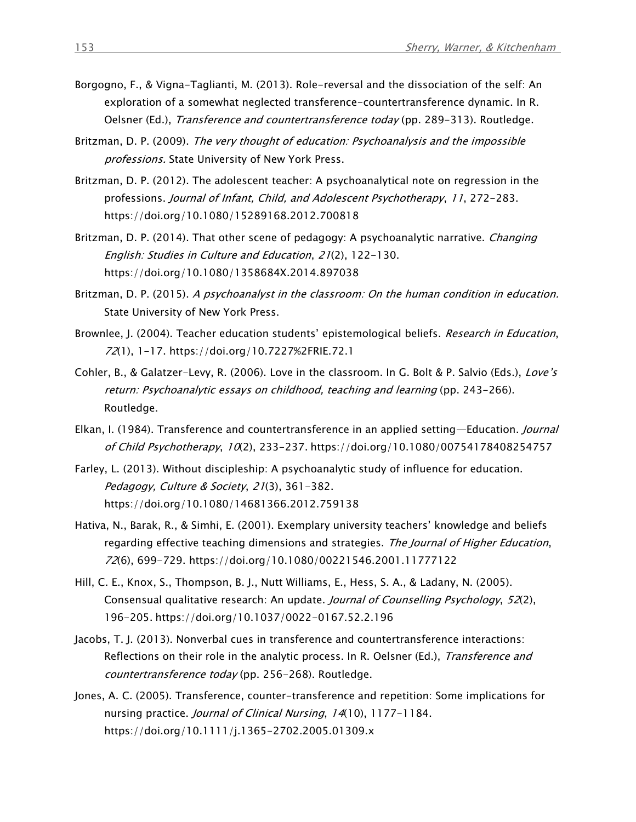- Borgogno, F., & Vigna-Taglianti, M. (2013). Role-reversal and the dissociation of the self: An exploration of a somewhat neglected transference-countertransference dynamic. In R. Oelsner (Ed.), *Transference and countertransference today* (pp. 289-313). Routledge.
- Britzman, D. P. (2009). The very thought of education: Psychoanalysis and the impossible professions. State University of New York Press.
- Britzman, D. P. (2012). The adolescent teacher: A psychoanalytical note on regression in the professions. Journal of Infant, Child, and Adolescent Psychotherapy, 11, 272-283. <https://doi.org/10.1080/15289168.2012.700818>
- Britzman, D. P. (2014). That other scene of pedagogy: A psychoanalytic narrative. *Changing* English: Studies in Culture and Education, 21(2), 122-130. <https://doi.org/10.1080/1358684X.2014.897038>
- Britzman, D. P. (2015). A psychoanalyst in the classroom: On the human condition in education. State University of New York Press.
- Brownlee, J. (2004). Teacher education students' epistemological beliefs. Research in Education, 72(1), 1-17.<https://doi.org/10.7227%2FRIE.72.1>
- Cohler, B., & Galatzer-Levy, R. (2006). Love in the classroom. In G. Bolt & P. Salvio (Eds.), Love's return: Psychoanalytic essays on childhood, teaching and learning (pp. 243-266). Routledge.
- Elkan, I. (1984). Transference and countertransference in an applied setting—Education. *Journal* of Child Psychotherapy, 10(2), 233-237. <https://doi.org/10.1080/00754178408254757>
- Farley, L. (2013). Without discipleship: A psychoanalytic study of influence for education. Pedagogy, Culture & Society, 21(3), 361-382. <https://doi.org/10.1080/14681366.2012.759138>
- Hativa, N., Barak, R., & Simhi, E. (2001). Exemplary university teachers' knowledge and beliefs regarding effective teaching dimensions and strategies. The Journal of Higher Education, 72(6), 699-729.<https://doi.org/10.1080/00221546.2001.11777122>
- Hill, C. E., Knox, S., Thompson, B. J., Nutt Williams, E., Hess, S. A., & Ladany, N. (2005). Consensual qualitative research: An update. Journal of Counselling Psychology, 52(2), 196-205. <https://doi.org/10.1037/0022-0167.52.2.196>
- Jacobs, T. J. (2013). Nonverbal cues in transference and countertransference interactions: Reflections on their role in the analytic process. In R. Oelsner (Ed.), Transference and countertransference today (pp. 256-268). Routledge.
- Jones, A. C. (2005). Transference, counter-transference and repetition: Some implications for nursing practice. Journal of Clinical Nursing, 14(10), 1177-1184. <https://doi.org/10.1111/j.1365-2702.2005.01309.x>